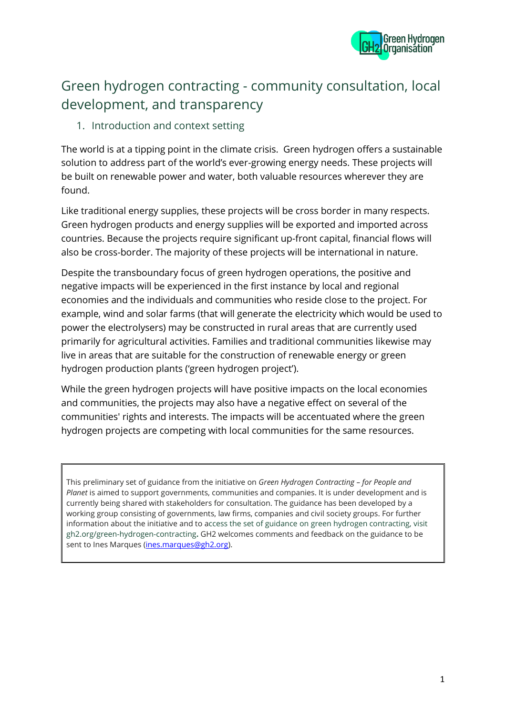

# Green hydrogen contracting - community consultation, local development, and transparency

## 1. Introduction and context setting

The world is at a tipping point in the climate crisis. Green hydrogen offers a sustainable solution to address part of the world's ever-growing energy needs. These projects will be built on renewable power and water, both valuable resources wherever they are found.

Like traditional energy supplies, these projects will be cross border in many respects. Green hydrogen products and energy supplies will be exported and imported across countries. Because the projects require significant up-front capital, financial flows will also be cross-border. The majority of these projects will be international in nature.

Despite the transboundary focus of green hydrogen operations, the positive and negative impacts will be experienced in the first instance by local and regional economies and the individuals and communities who reside close to the project. For example, wind and solar farms (that will generate the electricity which would be used to power the electrolysers) may be constructed in rural areas that are currently used primarily for agricultural activities. Families and traditional communities likewise may live in areas that are suitable for the construction of renewable energy or green hydrogen production plants ('green hydrogen project').

While the green hydrogen projects will have positive impacts on the local economies and communities, the projects may also have a negative effect on several of the communities' rights and interests. The impacts will be accentuated where the green hydrogen projects are competing with local communities for the same resources.

This preliminary set of guidance from the initiative on *Green Hydrogen Contracting – for People and Planet* is aimed to support governments, communities and companies. It is under development and is currently being shared with stakeholders for consultation. The guidance has been developed by a working group consisting of governments, law firms, companies and civil society groups. For further information about the initiative and to access the set of guidance on green hydrogen contracting, visit gh2.org/green-hydrogen-contracting**.** GH2 welcomes comments and feedback on the guidance to be sent to Ines Marques [\(ines.marques@gh2.org\)](mailto:ines.marques@gh2.org).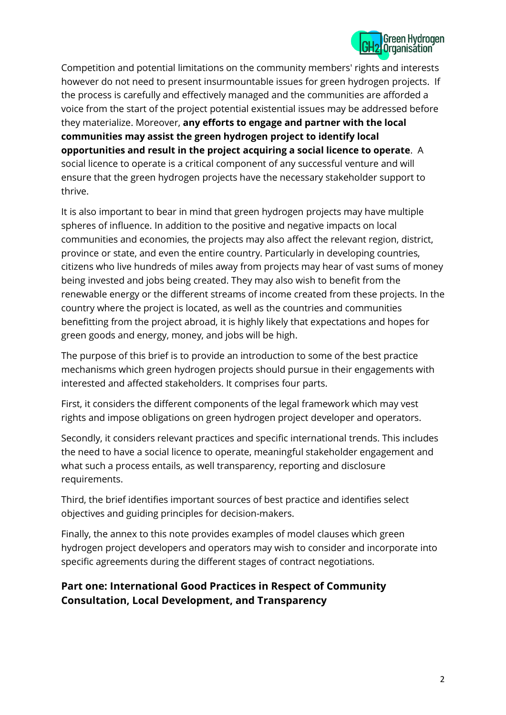

Competition and potential limitations on the community members' rights and interests however do not need to present insurmountable issues for green hydrogen projects. If the process is carefully and effectively managed and the communities are afforded a voice from the start of the project potential existential issues may be addressed before they materialize. Moreover, **any efforts to engage and partner with the local communities may assist the green hydrogen project to identify local opportunities and result in the project acquiring a social licence to operate**. A social licence to operate is a critical component of any successful venture and will ensure that the green hydrogen projects have the necessary stakeholder support to thrive.

It is also important to bear in mind that green hydrogen projects may have multiple spheres of influence. In addition to the positive and negative impacts on local communities and economies, the projects may also affect the relevant region, district, province or state, and even the entire country. Particularly in developing countries, citizens who live hundreds of miles away from projects may hear of vast sums of money being invested and jobs being created. They may also wish to benefit from the renewable energy or the different streams of income created from these projects. In the country where the project is located, as well as the countries and communities benefitting from the project abroad, it is highly likely that expectations and hopes for green goods and energy, money, and jobs will be high.

The purpose of this brief is to provide an introduction to some of the best practice mechanisms which green hydrogen projects should pursue in their engagements with interested and affected stakeholders. It comprises four parts.

First, it considers the different components of the legal framework which may vest rights and impose obligations on green hydrogen project developer and operators.

Secondly, it considers relevant practices and specific international trends. This includes the need to have a social licence to operate, meaningful stakeholder engagement and what such a process entails, as well transparency, reporting and disclosure requirements.

Third, the brief identifies important sources of best practice and identifies select objectives and guiding principles for decision-makers.

Finally, the annex to this note provides examples of model clauses which green hydrogen project developers and operators may wish to consider and incorporate into specific agreements during the different stages of contract negotiations.

# **Part one: International Good Practices in Respect of Community Consultation, Local Development, and Transparency**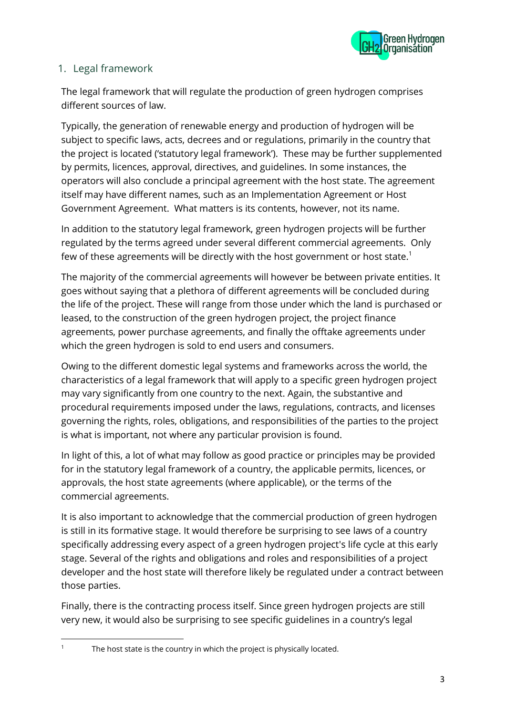

## 1. Legal framework

The legal framework that will regulate the production of green hydrogen comprises different sources of law.

Typically, the generation of renewable energy and production of hydrogen will be subject to specific laws, acts, decrees and or regulations, primarily in the country that the project is located ('statutory legal framework'). These may be further supplemented by permits, licences, approval, directives, and guidelines. In some instances, the operators will also conclude a principal agreement with the host state. The agreement itself may have different names, such as an Implementation Agreement or Host Government Agreement. What matters is its contents, however, not its name.

In addition to the statutory legal framework, green hydrogen projects will be further regulated by the terms agreed under several different commercial agreements. Only few of these agreements will be directly with the host government or host state.<sup>1</sup>

The majority of the commercial agreements will however be between private entities. It goes without saying that a plethora of different agreements will be concluded during the life of the project. These will range from those under which the land is purchased or leased, to the construction of the green hydrogen project, the project finance agreements, power purchase agreements, and finally the offtake agreements under which the green hydrogen is sold to end users and consumers.

Owing to the different domestic legal systems and frameworks across the world, the characteristics of a legal framework that will apply to a specific green hydrogen project may vary significantly from one country to the next. Again, the substantive and procedural requirements imposed under the laws, regulations, contracts, and licenses governing the rights, roles, obligations, and responsibilities of the parties to the project is what is important, not where any particular provision is found.

In light of this, a lot of what may follow as good practice or principles may be provided for in the statutory legal framework of a country, the applicable permits, licences, or approvals, the host state agreements (where applicable), or the terms of the commercial agreements.

It is also important to acknowledge that the commercial production of green hydrogen is still in its formative stage. It would therefore be surprising to see laws of a country specifically addressing every aspect of a green hydrogen project's life cycle at this early stage. Several of the rights and obligations and roles and responsibilities of a project developer and the host state will therefore likely be regulated under a contract between those parties.

Finally, there is the contracting process itself. Since green hydrogen projects are still very new, it would also be surprising to see specific guidelines in a country's legal

<sup>&</sup>lt;sup>1</sup> The host state is the country in which the project is physically located.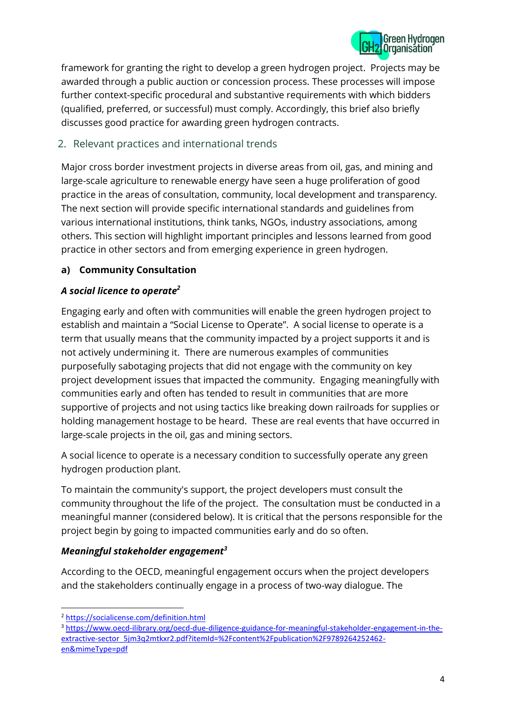

framework for granting the right to develop a green hydrogen project. Projects may be awarded through a public auction or concession process. These processes will impose further context-specific procedural and substantive requirements with which bidders (qualified, preferred, or successful) must comply. Accordingly, this brief also briefly discusses good practice for awarding green hydrogen contracts.

## 2. Relevant practices and international trends

Major cross border investment projects in diverse areas from oil, gas, and mining and large-scale agriculture to renewable energy have seen a huge proliferation of good practice in the areas of consultation, community, local development and transparency. The next section will provide specific international standards and guidelines from various international institutions, think tanks, NGOs, industry associations, among others. This section will highlight important principles and lessons learned from good practice in other sectors and from emerging experience in green hydrogen.

## **a) Community Consultation**

# *A social licence to operate<sup>2</sup>*

Engaging early and often with communities will enable the green hydrogen project to establish and maintain a "Social License to Operate". A social license to operate is a term that usually means that the community impacted by a project supports it and is not actively undermining it. There are numerous examples of communities purposefully sabotaging projects that did not engage with the community on key project development issues that impacted the community. Engaging meaningfully with communities early and often has tended to result in communities that are more supportive of projects and not using tactics like breaking down railroads for supplies or holding management hostage to be heard. These are real events that have occurred in large-scale projects in the oil, gas and mining sectors.

A social licence to operate is a necessary condition to successfully operate any green hydrogen production plant.

To maintain the community's support, the project developers must consult the community throughout the life of the project. The consultation must be conducted in a meaningful manner (considered below). It is critical that the persons responsible for the project begin by going to impacted communities early and do so often.

# *Meaningful stakeholder engagement<sup>3</sup>*

According to the OECD, meaningful engagement occurs when the project developers and the stakeholders continually engage in a process of two-way dialogue. The

<sup>2</sup> <https://socialicense.com/definition.html>

<sup>3</sup> [https://www.oecd-ilibrary.org/oecd-due-diligence-guidance-for-meaningful-stakeholder-engagement-in-the](https://www.oecd-ilibrary.org/oecd-due-diligence-guidance-for-meaningful-stakeholder-engagement-in-the-extractive-sector_5jm3q2mtkxr2.pdf?itemId=%2Fcontent%2Fpublication%2F9789264252462-en&mimeType=pdf)[extractive-sector\\_5jm3q2mtkxr2.pdf?itemId=%2Fcontent%2Fpublication%2F9789264252462](https://www.oecd-ilibrary.org/oecd-due-diligence-guidance-for-meaningful-stakeholder-engagement-in-the-extractive-sector_5jm3q2mtkxr2.pdf?itemId=%2Fcontent%2Fpublication%2F9789264252462-en&mimeType=pdf) [en&mimeType=pdf](https://www.oecd-ilibrary.org/oecd-due-diligence-guidance-for-meaningful-stakeholder-engagement-in-the-extractive-sector_5jm3q2mtkxr2.pdf?itemId=%2Fcontent%2Fpublication%2F9789264252462-en&mimeType=pdf)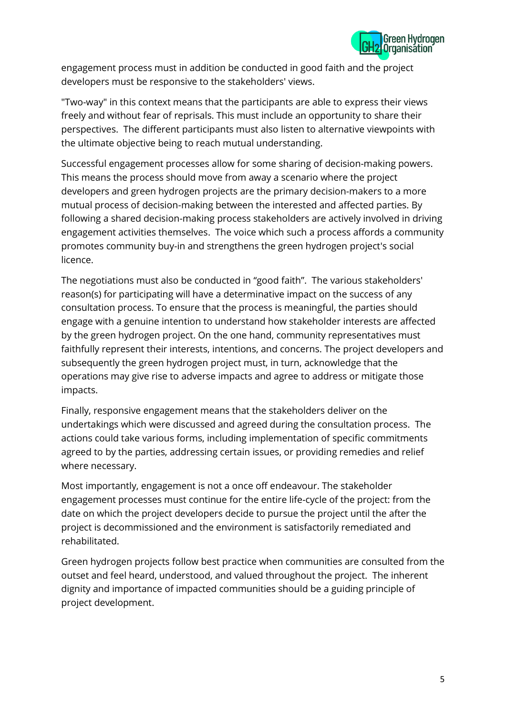

engagement process must in addition be conducted in good faith and the project developers must be responsive to the stakeholders' views.

"Two-way" in this context means that the participants are able to express their views freely and without fear of reprisals. This must include an opportunity to share their perspectives. The different participants must also listen to alternative viewpoints with the ultimate objective being to reach mutual understanding.

Successful engagement processes allow for some sharing of decision-making powers. This means the process should move from away a scenario where the project developers and green hydrogen projects are the primary decision-makers to a more mutual process of decision-making between the interested and affected parties. By following a shared decision-making process stakeholders are actively involved in driving engagement activities themselves. The voice which such a process affords a community promotes community buy-in and strengthens the green hydrogen project's social licence.

The negotiations must also be conducted in "good faith". The various stakeholders' reason(s) for participating will have a determinative impact on the success of any consultation process. To ensure that the process is meaningful, the parties should engage with a genuine intention to understand how stakeholder interests are affected by the green hydrogen project. On the one hand, community representatives must faithfully represent their interests, intentions, and concerns. The project developers and subsequently the green hydrogen project must, in turn, acknowledge that the operations may give rise to adverse impacts and agree to address or mitigate those impacts.

Finally, responsive engagement means that the stakeholders deliver on the undertakings which were discussed and agreed during the consultation process. The actions could take various forms, including implementation of specific commitments agreed to by the parties, addressing certain issues, or providing remedies and relief where necessary.

Most importantly, engagement is not a once off endeavour. The stakeholder engagement processes must continue for the entire life-cycle of the project: from the date on which the project developers decide to pursue the project until the after the project is decommissioned and the environment is satisfactorily remediated and rehabilitated.

Green hydrogen projects follow best practice when communities are consulted from the outset and feel heard, understood, and valued throughout the project. The inherent dignity and importance of impacted communities should be a guiding principle of project development.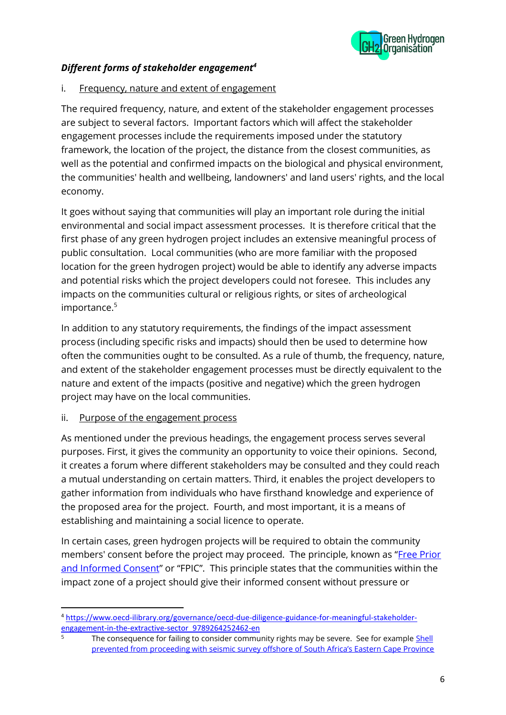

## *[Different](https://pubdocs.worldbank.org/en/837721522762050108/Environmental-and-Social-Framework.pdf#page=29&zoom=80) forms of [stakeholder](https://www.oecd-ilibrary.org/governance/oecd-due-diligence-guidance-for-meaningful-stakeholder-engagement-in-the-extractive-sector_9789264252462-en) engagement<sup>4</sup>*

#### i. Frequency, nature and extent of engagement

The required frequency, nature, and extent of the stakeholder engagement processes are subject to several factors. Important factors which will affect the stakeholder engagement processes include the requirements imposed under the statutory framework, the location of the project, the distance from the closest communities, as well as the potential and confirmed impacts on the biological and physical environment, the communities' health and wellbeing, landowners' and land users' rights, and the local economy.

It goes without saying that communities will play an important role during the initial environmental and social impact assessment processes. It is therefore critical that the first phase of any green hydrogen project includes an extensive meaningful process of public consultation. Local communities (who are more familiar with the proposed location for the green hydrogen project) would be able to identify any adverse impacts and potential risks which the project developers could not foresee. This includes any impacts on the communities cultural or religious rights, or sites of archeological importance.<sup>5</sup>

In addition to any statutory requirements, the findings of the impact assessment process (including specific risks and impacts) should then be used to determine how often the communities ought to be consulted. As a rule of thumb, the frequency, nature, and extent of the stakeholder engagement processes must be directly equivalent to the nature and extent of the impacts (positive and negative) which the green hydrogen project may have on the local communities.

#### ii. Purpose of the engagement process

As mentioned under the previous headings, the engagement process serves several purposes. First, it gives the community an opportunity to voice their opinions. Second, it creates a forum where different stakeholders may be consulted and they could reach a mutual understanding on certain matters. Third, it enables the project developers to gather information from individuals who have firsthand knowledge and experience of the proposed area for the project. Fourth, and most important, it is a means of establishing and maintaining a social licence to operate.

In certain cases, green hydrogen projects will be required to obtain the community members' consent before the project may proceed. The principle, known as "[Free Prior](https://www.ohchr.org/Documents/Issues/IPeoples/FreePriorandInformedConsent.pdf)  [and Informed Consent](https://www.ohchr.org/Documents/Issues/IPeoples/FreePriorandInformedConsent.pdf)" or "FPIC". This principle states that the communities within the impact zone of a project should give their informed consent without pressure or

<sup>4</sup> [https://www.oecd-ilibrary.org/governance/oecd-due-diligence-guidance-for-meaningful-stakeholder](https://www.oecd-ilibrary.org/governance/oecd-due-diligence-guidance-for-meaningful-stakeholder-engagement-in-the-extractive-sector_9789264252462-en)[engagement-in-the-extractive-sector\\_9789264252462-en](https://www.oecd-ilibrary.org/governance/oecd-due-diligence-guidance-for-meaningful-stakeholder-engagement-in-the-extractive-sector_9789264252462-en)

The consequence for failing to consider community rights may be severe. See for example Shell prevented from [proceeding with seismic survey offshore of South Africa's Eastern Cape Province](https://hsfnotes.com/africa/2022/01/10/shell-prevented-from-proceeding-with-seismic-survey-offshore-of-south-africas-eastern-cape-province/)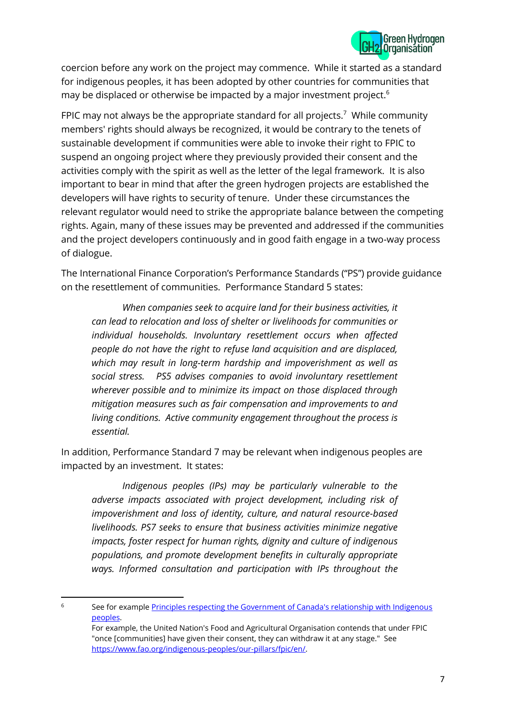

coercion before any work on the project may commence. While it started as a standard for indigenous peoples, it has been adopted by other countries for communities that may be displaced or otherwise be impacted by a major investment project. $6$ 

FPIC may not always be the appropriate standard for all projects.<sup>7</sup> While community members' rights should always be recognized, it would be contrary to the tenets of sustainable development if communities were able to invoke their right to FPIC to suspend an ongoing project where they previously provided their consent and the activities comply with the spirit as well as the letter of the legal framework. It is also important to bear in mind that after the green hydrogen projects are established the developers will have rights to security of tenure. Under these circumstances the relevant regulator would need to strike the appropriate balance between the competing rights. Again, many of these issues may be prevented and addressed if the communities and the project developers continuously and in good faith engage in a two-way process of dialogue.

The International Finance Corporation's Performance Standards ("PS") provide guidance on the resettlement of communities. Performance Standard 5 states:

*When companies seek to acquire land for their business activities, it can lead to relocation and loss of shelter or livelihoods for communities or individual households. Involuntary resettlement occurs when affected people do not have the right to refuse land acquisition and are displaced, which may result in long-term hardship and impoverishment as well as social stress. PS5 advises companies to avoid involuntary resettlement wherever possible and to minimize its impact on those displaced through mitigation measures such as fair compensation and improvements to and living conditions. Active community engagement throughout the process is essential.*

In addition, Performance Standard 7 may be relevant when indigenous peoples are impacted by an investment. It states:

*Indigenous peoples (IPs) may be particularly vulnerable to the adverse impacts associated with project development, including risk of impoverishment and loss of identity, culture, and natural resource-based livelihoods. PS7 seeks to ensure that business activities minimize negative impacts, foster respect for human rights, dignity and culture of indigenous populations, and promote development benefits in culturally appropriate ways. Informed consultation and participation with IPs throughout the* 

<sup>&</sup>lt;sup>6</sup> See for example *Principles respecting the Government of Canada's relationship with Indigenous* [peoples.](https://www.justice.gc.ca/eng/csj-sjc/principles-principes.html)

For example, the United Nation's Food and Agricultural Organisation contends that under FPIC "once [communities] have given their consent, they can withdraw it at any stage." See [https://www.fao.org/indigenous-peoples/our-pillars/fpic/en/.](https://www.fao.org/indigenous-peoples/our-pillars/fpic/en/)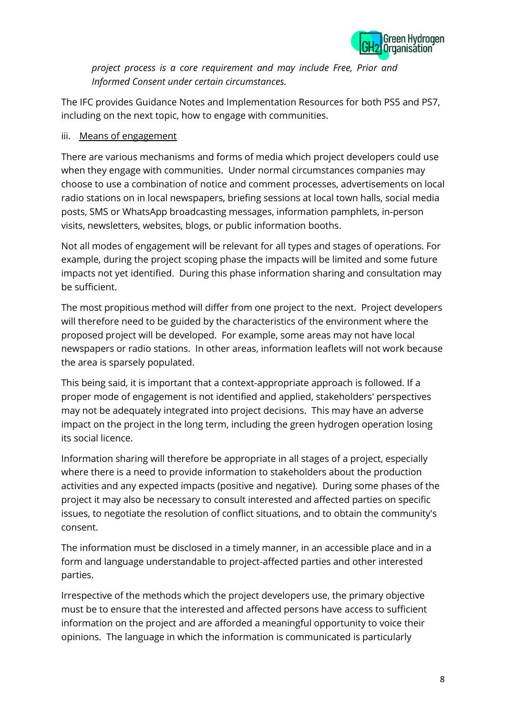

*project process is a core requirement and may include Free, Prior and Informed Consent under certain circumstances.*

The IFC provides Guidance Notes and Implementation Resources for both PS5 and PS7, including on the next topic, how to engage with communities.

#### iii. Means of engagement

There are various mechanisms and forms of media which project developers could use when they engage with communities. Under normal circumstances companies may choose to use a combination of notice and comment processes, advertisements on local radio stations on in local newspapers, briefing sessions at local town halls, social media posts, SMS or WhatsApp broadcasting messages, information pamphlets, in-person visits, newsletters, websites, blogs, or public information booths.

Not all modes of engagement will be relevant for all types and stages of operations. For example, during the project scoping phase the impacts will be limited and some future impacts not yet identified. During this phase information sharing and consultation may be sufficient.

The most propitious method will differ from one project to the next. Project developers will therefore need to be guided by the characteristics of the environment where the proposed project will be developed. For example, some areas may not have local newspapers or radio stations. In other areas, information leaflets will not work because the area is sparsely populated.

This being said, it is important that a context-appropriate approach is followed. If a proper mode of engagement is not identified and applied, stakeholders' perspectives may not be adequately integrated into project decisions. This may have an adverse impact on the project in the long term, including the green hydrogen operation losing its social licence.

Information sharing will therefore be appropriate in all stages of a project, especially where there is a need to provide information to stakeholders about the production activities and any expected impacts (positive and negative). During some phases of the project it may also be necessary to consult interested and affected parties on specific issues, to negotiate the resolution of conflict situations, and to obtain the community's consent.

The information must be disclosed in a timely manner, in an accessible place and in a form and language understandable to project-affected parties and other interested parties.

Irrespective of the methods which the project developers use, the primary objective must be to ensure that the interested and affected persons have access to sufficient information on the project and are afforded a meaningful opportunity to voice their opinions. The language in which the information is communicated is particularly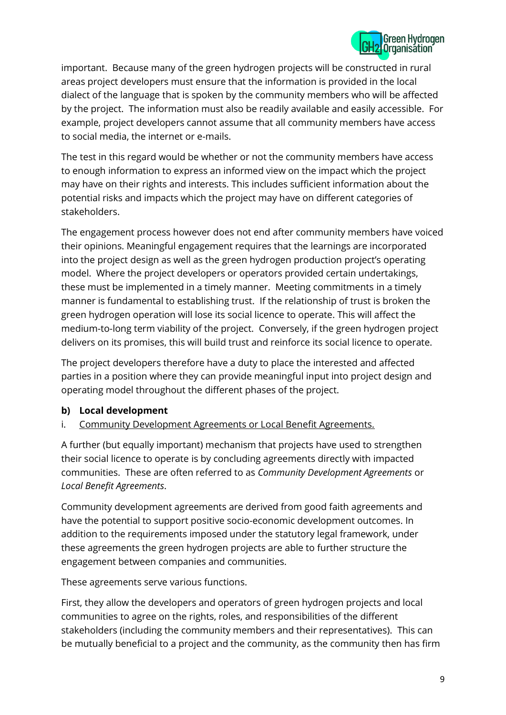

important. Because many of the green hydrogen projects will be constructed in rural areas project developers must ensure that the information is provided in the local dialect of the language that is spoken by the community members who will be affected by the project. The information must also be readily available and easily accessible. For example, project developers cannot assume that all community members have access to social media, the internet or e-mails.

The test in this regard would be whether or not the community members have access to enough information to express an informed view on the impact which the project may have on their rights and interests. This includes sufficient information about the potential risks and impacts which the project may have on different categories of stakeholders.

The engagement process however does not end after community members have voiced their opinions. Meaningful engagement requires that the learnings are incorporated into the project design as well as the green hydrogen production project's operating model. Where the project developers or operators provided certain undertakings, these must be implemented in a timely manner. Meeting commitments in a timely manner is fundamental to establishing trust. If the relationship of trust is broken the green hydrogen operation will lose its social licence to operate. This will affect the medium-to-long term viability of the project. Conversely, if the green hydrogen project delivers on its promises, this will build trust and reinforce its social licence to operate.

The project developers therefore have a duty to place the interested and affected parties in a position where they can provide meaningful input into project design and operating model throughout the different phases of the project.

## **b) [Local development](https://guidance.miningwithprinciples.com/community-development-toolkit/tool-14-community-development-agreements/)**

i. Community Development Agreements or Local Benefit Agreements.

A further (but equally important) mechanism that projects have used to strengthen their social licence to operate is by concluding agreements directly with impacted communities. These are often referred to as *Community Development Agreements* or *Local Benefit Agreements*.

Community development agreements are derived from good faith agreements and have the potential to support positive socio-economic development outcomes. In addition to the requirements imposed under the statutory legal framework, under these agreements the green hydrogen projects are able to further structure the engagement between companies and communities.

These agreements serve various functions.

First, they allow the developers and operators of green hydrogen projects and local communities to agree on the rights, roles, and responsibilities of the different stakeholders (including the community members and their representatives). This can be mutually beneficial to a project and the community, as the community then has firm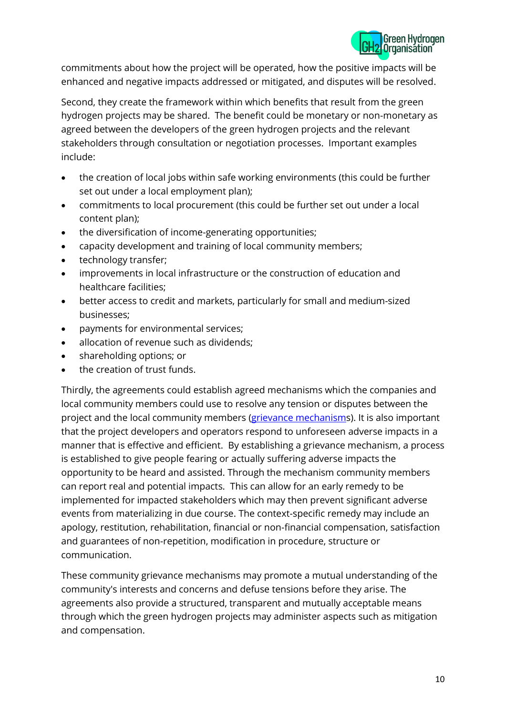

commitments about how the project will be operated, how the positive impacts will be enhanced and negative impacts addressed or mitigated, and disputes will be resolved.

Second, they create the framework within which benefits that result from the green hydrogen projects may be shared. The benefit could be monetary or non-monetary as agreed between the developers of the green hydrogen projects and the relevant stakeholders through consultation or negotiation processes. Important examples include:

- the creation of local jobs within safe working environments (this could be further set out under a local employment plan);
- commitments to local procurement (this could be further set out under a local content plan);
- the diversification of income-generating opportunities;
- capacity development and training of local community members;
- technology transfer;
- improvements in local infrastructure or the construction of education and healthcare facilities;
- better access to credit and markets, particularly for small and medium-sized businesses;
- payments for environmental services;
- allocation of revenue such as dividends;
- shareholding options; or
- the creation of trust funds.

Thirdly, the agreements could establish agreed mechanisms which the companies and local community members could use to resolve any tension or disputes between the project and the local community members [\(grievance mechanisms](https://www.iucn.org/sites/dev/files/content/documents/iucn_project_complaints_management_system_december_2013.pdf)). It is also important that the project developers and operators respond to unforeseen adverse impacts in a manner that is effective and efficient. By establishing a grievance mechanism, a process is established to give people fearing or actually suffering adverse impacts the opportunity to be heard and assisted. Through the mechanism community members can report real and potential impacts. This can allow for an early remedy to be implemented for impacted stakeholders which may then prevent significant adverse events from materializing in due course. The context-specific remedy may include an apology, restitution, rehabilitation, financial or non-financial compensation, satisfaction and guarantees of non-repetition, modification in procedure, structure or communication.

These community grievance mechanisms may promote a mutual understanding of the community's interests and concerns and defuse tensions before they arise. The agreements also provide a structured, transparent and mutually acceptable means through which the green hydrogen projects may administer aspects such as mitigation and compensation.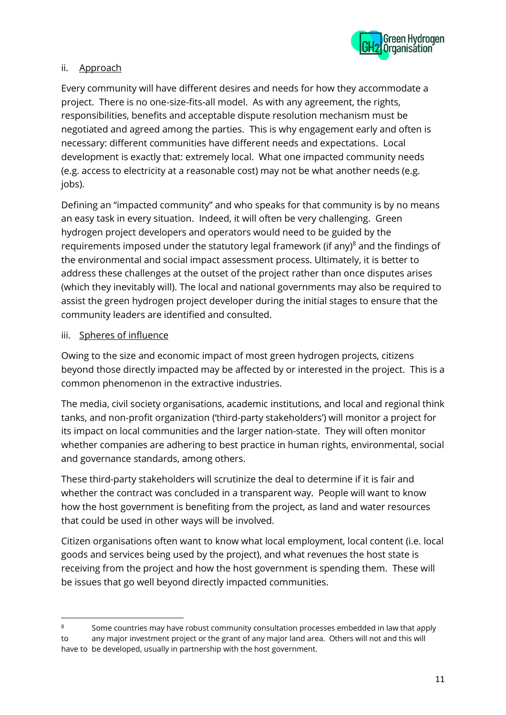

## ii. Approach

Every community will have different desires and needs for how they accommodate a project. There is no one-size-fits-all model. As with any agreement, the rights, responsibilities, benefits and acceptable dispute resolution mechanism must be negotiated and agreed among the parties. This is why engagement early and often is necessary: different communities have different needs and expectations. Local development is exactly that: extremely local. What one impacted community needs (e.g. access to electricity at a reasonable cost) may not be what another needs (e.g. jobs).

Defining an "impacted community" and who speaks for that community is by no means an easy task in every situation. Indeed, it will often be very challenging. Green hydrogen project developers and operators would need to be guided by the requirements imposed under the statutory legal framework (if any) $8$  and the findings of the environmental and social impact assessment process. Ultimately, it is better to address these challenges at the outset of the project rather than once disputes arises (which they inevitably will). The local and national governments may also be required to assist the green hydrogen project developer during the initial stages to ensure that the community leaders are identified and consulted.

## iii. Spheres of influence

Owing to the size and economic impact of most green hydrogen projects, citizens beyond those directly impacted may be affected by or interested in the project. This is a common phenomenon in the extractive industries.

The media, civil society organisations, academic institutions, and local and regional think tanks, and non-profit organization ('third-party stakeholders') will monitor a project for its impact on local communities and the larger nation-state. They will often monitor whether companies are adhering to best practice in human rights, environmental, social and governance standards, among others.

These third-party stakeholders will scrutinize the deal to determine if it is fair and whether the contract was concluded in a transparent way. People will want to know how the host government is benefiting from the project, as land and water resources that could be used in other ways will be involved.

Citizen organisations often want to know what local employment, local content (i.e. local goods and services being used by the project), and what revenues the host state is receiving from the project and how the host government is spending them. These will be issues that go well beyond directly impacted communities.

 $8$  Some countries may have robust community consultation processes embedded in law that apply to any major investment project or the grant of any major land area. Others will not and this will have to be developed, usually in partnership with the host government.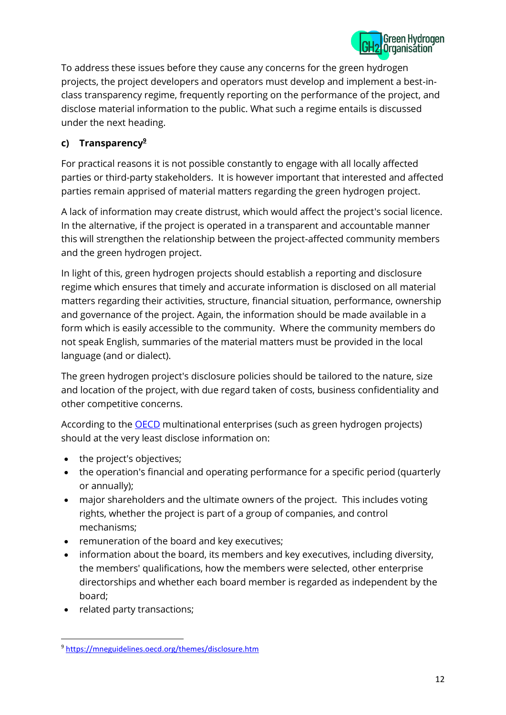

To address these issues before they cause any concerns for the green hydrogen projects, the project developers and operators must develop and implement a best-inclass transparency regime, frequently reporting on the performance of the project, and disclose material information to the public. What such a regime entails is discussed under the next heading.

## **c) Transparency<sup>9</sup>**

For practical reasons it is not possible constantly to engage with all locally affected parties or third-party stakeholders. It is however important that interested and affected parties remain apprised of material matters regarding the green hydrogen project.

A lack of information may create distrust, which would affect the project's social licence. In the alternative, if the project is operated in a transparent and accountable manner this will strengthen the relationship between the project-affected community members and the green hydrogen project.

In light of this, green hydrogen projects should establish a reporting and disclosure regime which ensures that timely and accurate information is disclosed on all material matters regarding their activities, structure, financial situation, performance, ownership and governance of the project. Again, the information should be made available in a form which is easily accessible to the community. Where the community members do not speak English, summaries of the material matters must be provided in the local language (and or dialect).

The green hydrogen project's disclosure policies should be tailored to the nature, size and location of the project, with due regard taken of costs, business confidentiality and other competitive concerns.

According to the **[OECD](https://mneguidelines.oecd.org/themes/disclosure.htm)** multinational enterprises (such as green hydrogen projects) should at the very least disclose information on:

- the project's objectives;
- the operation's financial and operating performance for a specific period (quarterly or annually);
- major shareholders and the ultimate owners of the project. This includes voting rights, whether the project is part of a group of companies, and control mechanisms;
- remuneration of the board and key executives;
- information about the board, its members and key executives, including diversity, the members' qualifications, how the members were selected, other enterprise directorships and whether each board member is regarded as independent by the board;
- related party transactions;

<sup>9</sup> <https://mneguidelines.oecd.org/themes/disclosure.htm>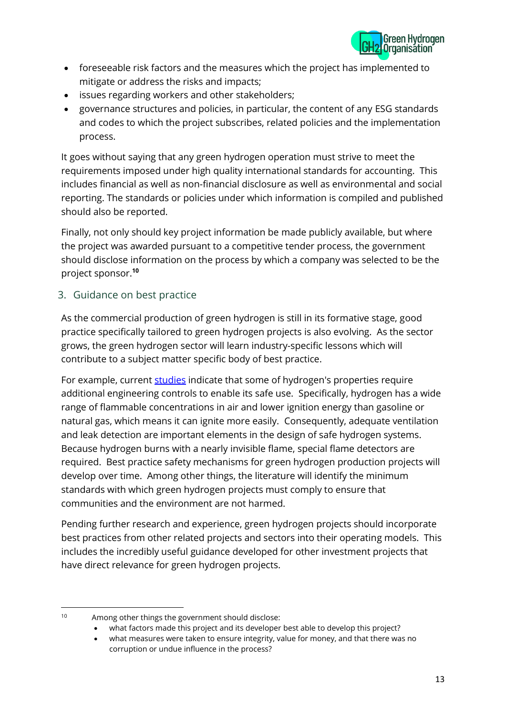

- foreseeable risk factors and the measures which the project has implemented to mitigate or address the risks and impacts;
- issues regarding workers and other stakeholders;
- governance structures and policies, in particular, the content of any ESG standards and codes to which the project subscribes, related policies and the implementation process.

It goes without saying that any green hydrogen operation must strive to meet the requirements imposed under high quality international standards for accounting. This includes financial as well as non-financial disclosure as well as environmental and social reporting. The standards or policies under which information is compiled and published should also be reported.

Finally, not only should key project information be made publicly available, but where the project was awarded pursuant to a competitive tender process, the government should disclose information on the process by which a company was selected to be the project sponsor. **10**

## 3. Guidance on best practice

As the commercial production of green hydrogen is still in its formative stage, good practice specifically tailored to green hydrogen projects is also evolving. As the sector grows, the green hydrogen sector will learn industry-specific lessons which will contribute to a subject matter specific body of best practice.

For example, current [studies](https://www.energy.gov/eere/fuelcells/safe-use-hydrogen) indicate that some of hydrogen's properties require additional engineering controls to enable its safe use. Specifically, hydrogen has a wide range of flammable concentrations in air and lower ignition energy than gasoline or natural gas, which means it can ignite more easily. Consequently, adequate ventilation and leak detection are important elements in the design of safe hydrogen systems. Because hydrogen burns with a nearly invisible flame, special flame detectors are required. Best practice safety mechanisms for green hydrogen production projects will develop over time. Among other things, the literature will identify the minimum standards with which green hydrogen projects must comply to ensure that communities and the environment are not harmed.

Pending further research and experience, green hydrogen projects should incorporate best practices from other related projects and sectors into their operating models. This includes the incredibly useful guidance developed for other investment projects that have direct relevance for green hydrogen projects.

<sup>10</sup> Among other things the government should disclose:

<sup>•</sup> what factors made this project and its developer best able to develop this project?

<sup>•</sup> what measures were taken to ensure integrity, value for money, and that there was no corruption or undue influence in the process?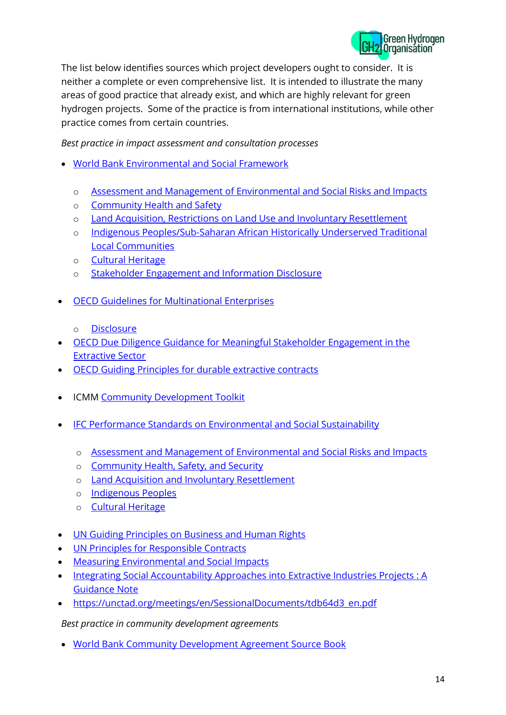

The list below identifies sources which project developers ought to consider. It is neither a complete or even comprehensive list. It is intended to illustrate the many areas of good practice that already exist, and which are highly relevant for green hydrogen projects. Some of the practice is from international institutions, while other practice comes from certain countries.

#### *Best practice in impact assessment and consultation processes*

- [World Bank Environmental and Social Framework](https://www.worldbank.org/en/projects-operations/environmental-and-social-framework)
	- o [Assessment and Management of Environmental and Social Risks and Impacts](https://pubdocs.worldbank.org/en/142691530216729197/ESF-GN1-June-2018.pdf)
	- o [Community Health and Safety](https://pubdocs.worldbank.org/en/290471530216994899/ESF-GN4-June-2018.pdf)
	- o [Land Acquisition, Restrictions on Land Use and Involuntary Resettlement](https://pubdocs.worldbank.org/en/294331530217033360/ESF-GN5-June-2018.pdf)
	- o [Indigenous Peoples/Sub-Saharan African Historically Underserved Traditional](https://pubdocs.worldbank.org/en/972151530217132480/ESF-GN7-June-2018.pdf)  [Local Communities](https://pubdocs.worldbank.org/en/972151530217132480/ESF-GN7-June-2018.pdf)
	- o [Cultural Heritage](https://pubdocs.worldbank.org/en/743151530217186766/ESF-GN8-June-2018.pdf)
	- o [Stakeholder Engagement and Information Disclosure](https://pubdocs.worldbank.org/en/476161530217390609/ESF-GN10-June-2018.pdf)
- **[OECD Guidelines for Multinational Enterprises](https://mneguidelines.oecd.org/mneguidelines/)** 
	- o [Disclosure](https://mneguidelines.oecd.org/themes/disclosure.htm)
- [OECD Due Diligence Guidance for Meaningful Stakeholder Engagement in the](https://www.oecd-ilibrary.org/governance/oecd-due-diligence-guidance-for-meaningful-stakeholder-engagement-in-the-extractive-sector_9789264252462-en)  [Extractive Sector](https://www.oecd-ilibrary.org/governance/oecd-due-diligence-guidance-for-meaningful-stakeholder-engagement-in-the-extractive-sector_9789264252462-en)
- [OECD Guiding Principles for durable extractive contracts](file:///C:/NRPortbl/Johannesburg_15/EM20234/•%09http:/www.oecd.org/dev/Guiding_Principles_for_durable_extractive_contracts.pdf)
- ICMM [Community Development Toolkit](https://guidance.miningwithprinciples.com/community-development-toolkit/tool-14-community-development-agreements/)
- [IFC Performance Standards on Environmental and Social Sustainability](https://www.ifc.org/wps/wcm/connect/Topics_Ext_Content/IFC_External_Corporate_Site/Sustainability-At-IFC/Policies-Standards/Performance-Standards)
	- o [Assessment and Management of Environmental and Social Risks and Impacts](https://www.ifc.org/wps/wcm/connect/topics_ext_content/ifc_external_corporate_site/sustainability-at-ifc/policies-standards/performance-standards/ps1)
	- o [Community Health, Safety, and Security](https://www.ifc.org/wps/wcm/connect/topics_ext_content/ifc_external_corporate_site/sustainability-at-ifc/policies-standards/performance-standards/ps4)
	- o [Land Acquisition and Involuntary Resettlement](https://www.ifc.org/wps/wcm/connect/topics_ext_content/ifc_external_corporate_site/sustainability-at-ifc/policies-standards/performance-standards/ps5)
	- o [Indigenous Peoples](https://www.ifc.org/wps/wcm/connect/topics_ext_content/ifc_external_corporate_site/sustainability-at-ifc/policies-standards/performance-standards/ps7)
	- o [Cultural Heritage](https://www.ifc.org/wps/wcm/connect/topics_ext_content/ifc_external_corporate_site/sustainability-at-ifc/policies-standards/performance-standards/ps8)
- [UN Guiding Principles on Business and Human Rights](https://www.ohchr.org/documents/publications/guidingprinciplesbusinesshr_en.pdf)
- [UN Principles for Responsible Contracts](file:///C:/Users/SH17753/AppData/Local/Microsoft/Windows/INetCache/Content.Outlook/9LUIBZO1/•%09https:/www.ohchr.org/Documents/Publications/Principles_ResponsibleContracts_HR_PUB_15_1_EN.pdf)
- [Measuring Environmental and Social Impacts](https://resourcegovernance.org/analysis-tools/publications/beyond-revenues-measuring-environmental-social-impacts)
- [Integrating Social Accountability Approaches into Extractive Industries Projects : A](https://openknowledge.worldbank.org/handle/10986/24771)  [Guidance Note](https://openknowledge.worldbank.org/handle/10986/24771)
- [https://unctad.org/meetings/en/SessionalDocuments/tdb64d3\\_en.pdf](https://unctad.org/meetings/en/SessionalDocuments/tdb64d3_en.pdf)

*Best practice in community development agreements*

• [World Bank Community Development Agreement Source Book](http://hdl.handle.net/10986/12641)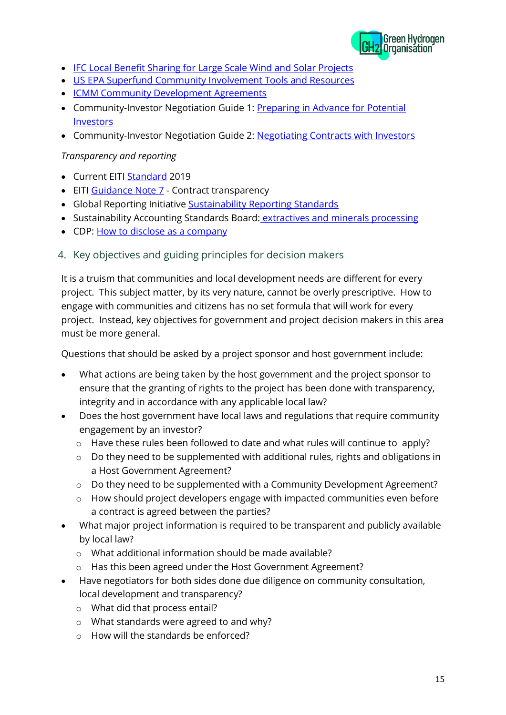

- [IFC Local Benefit Sharing for Large Scale Wind and Solar Projects](https://www.commdev.org/wp-content/uploads/2019/06/IFC-LargeScaleWindSolar_Web.pdf)
- [US EPA Superfund Community Involvement Tools and Resources](https://www.epa.gov/superfund/superfund-community-involvement-tools-and-%20resources)
- [ICMM Community Development Agreements](https://guidance.miningwithprinciples.com/community-development-toolkit/tool-14-community-development-agreements/)
- Community-Investor Negotiation Guide 1: Preparing in Advance for Potential [Investors](https://www.business-humanrights.org/en/latest-news/guide-1-preparing-in-advance-for-potential-investors/)
- Community-Investor Negotiation Guide 2: [Negotiating Contracts with Investors](http://ccsi.columbia.edu/2018/09/05/community-investor-negotiation-guide-2-negotiating-contracts-with-investors/)

#### *Transparency and reporting*

- Current EITI [Standard](https://eiti.org/sites/default/files/documents/eiti_standard2019_a4_en.pdf) 2019
- EITI [Guidance Note 7](https://eiti.org/sites/default/files/documents/guidance-note-7-contract-transparency.pdf) Contract transparency
- Global Reporting Initiative [Sustainability Reporting Standards](https://www.globalreporting.org/how-to-use-the-gri-standards/gri-standards-english-language/)
- Sustainability Accounting Standards Board: [extractives and minerals processing](https://www.sasb.org/standards/download/)
- CDP: [How to disclose as a company](https://www.cdp.net/en/companies-discloser/how-to-disclose-as-a-company)
- 4. Key objectives and guiding principles for decision makers

It is a truism that communities and local development needs are different for every project. This subject matter, by its very nature, cannot be overly prescriptive. How to engage with communities and citizens has no set formula that will work for every project. Instead, key objectives for government and project decision makers in this area must be more general.

Questions that should be asked by a project sponsor and host government include:

- What actions are being taken by the host government and the project sponsor to ensure that the granting of rights to the project has been done with transparency, integrity and in accordance with any applicable local law?
- Does the host government have local laws and regulations that require community engagement by an investor?
	- o Have these rules been followed to date and what rules will continue to apply?
	- o Do they need to be supplemented with additional rules, rights and obligations in a Host Government Agreement?
	- o Do they need to be supplemented with a Community Development Agreement?
	- o How should project developers engage with impacted communities even before a contract is agreed between the parties?
- What major project information is required to be transparent and publicly available by local law?
	- o What additional information should be made available?
	- o Has this been agreed under the Host Government Agreement?
- Have negotiators for both sides done due diligence on community consultation, local development and transparency?
	- o What did that process entail?
	- o What standards were agreed to and why?
	- o How will the standards be enforced?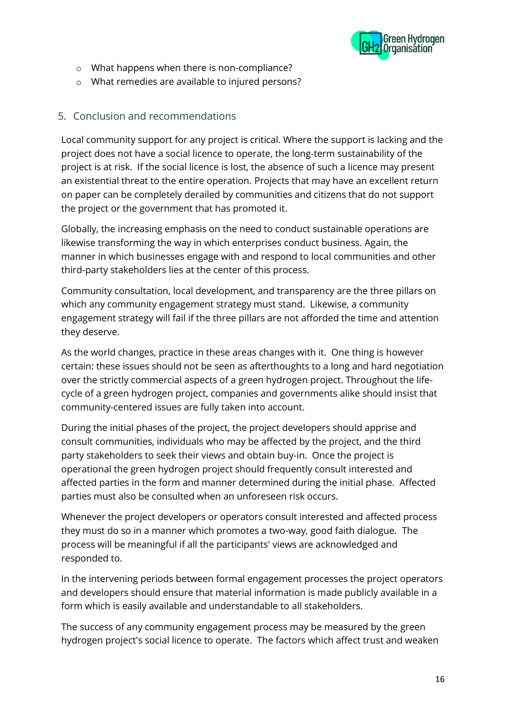

- o What happens when there is non-compliance?
- o What remedies are available to injured persons?

## 5. Conclusion and recommendations

Local community support for any project is critical. Where the support is lacking and the project does not have a social licence to operate, the long-term sustainability of the project is at risk. If the social licence is lost, the absence of such a licence may present an existential threat to the entire operation. Projects that may have an excellent return on paper can be completely derailed by communities and citizens that do not support the project or the government that has promoted it.

Globally, the increasing emphasis on the need to conduct sustainable operations are likewise transforming the way in which enterprises conduct business. Again, the manner in which businesses engage with and respond to local communities and other third-party stakeholders lies at the center of this process.

Community consultation, local development, and transparency are the three pillars on which any community engagement strategy must stand. Likewise, a community engagement strategy will fail if the three pillars are not afforded the time and attention they deserve.

As the world changes, practice in these areas changes with it. One thing is however certain: these issues should not be seen as afterthoughts to a long and hard negotiation over the strictly commercial aspects of a green hydrogen project. Throughout the lifecycle of a green hydrogen project, companies and governments alike should insist that community-centered issues are fully taken into account.

During the initial phases of the project, the project developers should apprise and consult communities, individuals who may be affected by the project, and the third party stakeholders to seek their views and obtain buy-in. Once the project is operational the green hydrogen project should frequently consult interested and affected parties in the form and manner determined during the initial phase. Affected parties must also be consulted when an unforeseen risk occurs.

Whenever the project developers or operators consult interested and affected process they must do so in a manner which promotes a two-way, good faith dialogue. The process will be meaningful if all the participants' views are acknowledged and responded to.

In the intervening periods between formal engagement processes the project operators and developers should ensure that material information is made publicly available in a form which is easily available and understandable to all stakeholders.

The success of any community engagement process may be measured by the green hydrogen project's social licence to operate. The factors which affect trust and weaken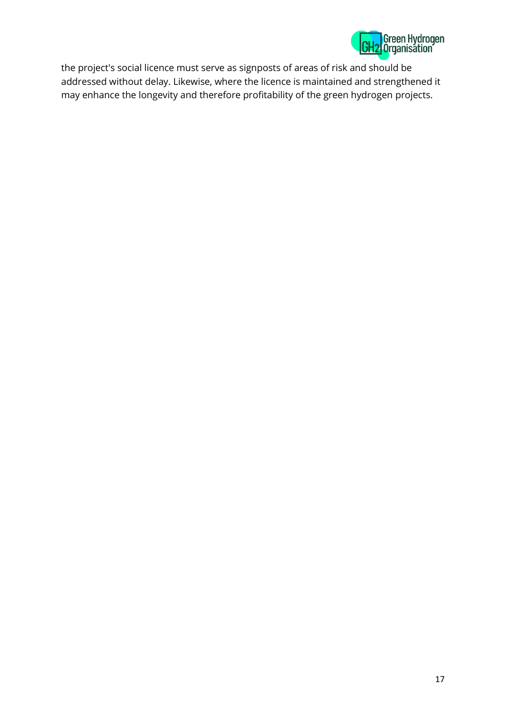

the project's social licence must serve as signposts of areas of risk and should be addressed without delay. Likewise, where the licence is maintained and strengthened it may enhance the longevity and therefore profitability of the green hydrogen projects.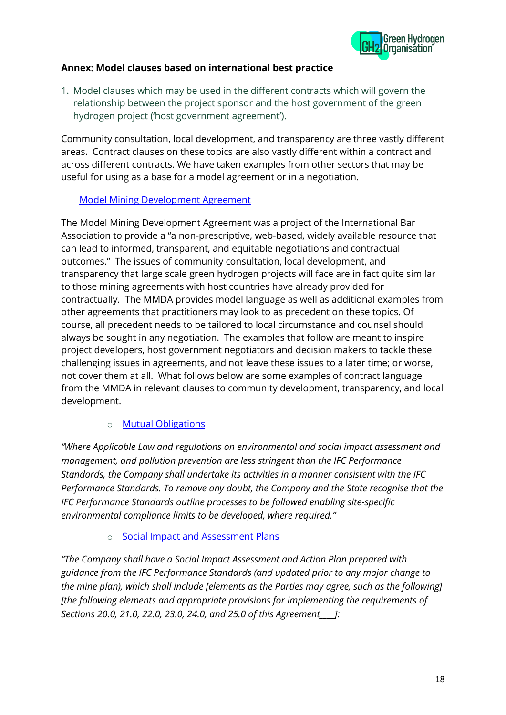

## **Annex: Model clauses based on international best practice**

1. Model clauses which may be used in the different contracts which will govern the relationship between the project sponsor and the host government of the green hydrogen project ('host government agreement').

Community consultation, local development, and transparency are three vastly different areas. Contract clauses on these topics are also vastly different within a contract and across different contracts. We have taken examples from other sectors that may be useful for using as a base for a model agreement or in a negotiation.

#### [Model Mining Development Agreement](https://www.mmdaproject.org/mmda-1-0-table-of-contents-2/)

The Model Mining Development Agreement was a project of the International Bar Association to provide a "a non-prescriptive, web-based, widely available resource that can lead to informed, transparent, and equitable negotiations and contractual outcomes." The issues of community consultation, local development, and transparency that large scale green hydrogen projects will face are in fact quite similar to those mining agreements with host countries have already provided for contractually. The MMDA provides model language as well as additional examples from other agreements that practitioners may look to as precedent on these topics. Of course, all precedent needs to be tailored to local circumstance and counsel should always be sought in any negotiation. The examples that follow are meant to inspire project developers, host government negotiators and decision makers to tackle these challenging issues in agreements, and not leave these issues to a later time; or worse, not cover them at all. What follows below are some examples of contract language from the MMDA in relevant clauses to community development, transparency, and local development.

## o [Mutual Obligations](https://www.mmdaproject.org/12-0-mutual-obligations/)

*"Where Applicable Law and regulations on environmental and social impact assessment and management, and pollution prevention are less stringent than the IFC Performance Standards, the Company shall undertake its activities in a manner consistent with the IFC Performance Standards. To remove any doubt, the Company and the State recognise that the IFC Performance Standards outline processes to be followed enabling site-specific environmental compliance limits to be developed, where required."*

## o Social Impact [and Assessment Plans](https://www.mmdaproject.org/2-6-4-social-impact-assessment-and-action-plan/)

*"The Company shall have a Social Impact Assessment and Action Plan prepared with guidance from the IFC Performance Standards (and updated prior to any major change to the mine plan), which shall include [elements as the Parties may agree, such as the following] [the following elements and appropriate provisions for implementing the requirements of Sections 20.0, 21.0, 22.0, 23.0, 24.0, and 25.0 of this Agreement\_\_\_\_]:*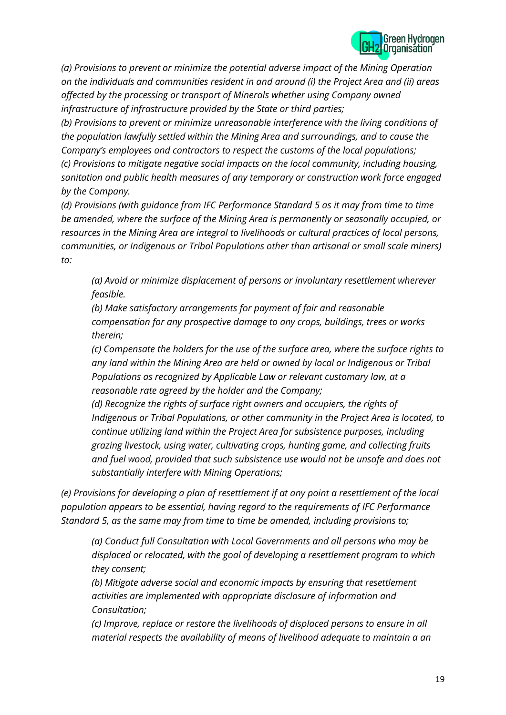

*(a) Provisions to prevent or minimize the potential adverse impact of the Mining Operation on the individuals and communities resident in and around (i) the Project Area and (ii) areas affected by the processing or transport of Minerals whether using Company owned infrastructure of infrastructure provided by the State or third parties;*

*(b) Provisions to prevent or minimize unreasonable interference with the living conditions of the population lawfully settled within the Mining Area and surroundings, and to cause the Company's employees and contractors to respect the customs of the local populations; (c) Provisions to mitigate negative social impacts on the local community, including housing, sanitation and public health measures of any temporary or construction work force engaged by the Company.*

*(d) Provisions (with guidance from IFC Performance Standard 5 as it may from time to time be amended, where the surface of the Mining Area is permanently or seasonally occupied, or resources in the Mining Area are integral to livelihoods or cultural practices of local persons, communities, or Indigenous or Tribal Populations other than artisanal or small scale miners) to:*

*(a) Avoid or minimize displacement of persons or involuntary resettlement wherever feasible.*

*(b) Make satisfactory arrangements for payment of fair and reasonable compensation for any prospective damage to any crops, buildings, trees or works therein;*

*(c) Compensate the holders for the use of the surface area, where the surface rights to any land within the Mining Area are held or owned by local or Indigenous or Tribal Populations as recognized by Applicable Law or relevant customary law, at a reasonable rate agreed by the holder and the Company;*

*(d) Recognize the rights of surface right owners and occupiers, the rights of Indigenous or Tribal Populations, or other community in the Project Area is located, to continue utilizing land within the Project Area for subsistence purposes, including grazing livestock, using water, cultivating crops, hunting game, and collecting fruits and fuel wood, provided that such subsistence use would not be unsafe and does not substantially interfere with Mining Operations;*

*(e) Provisions for developing a plan of resettlement if at any point a resettlement of the local population appears to be essential, having regard to the requirements of IFC Performance Standard 5, as the same may from time to time be amended, including provisions to;*

*(a) Conduct full Consultation with Local Governments and all persons who may be displaced or relocated, with the goal of developing a resettlement program to which they consent;*

*(b) Mitigate adverse social and economic impacts by ensuring that resettlement activities are implemented with appropriate disclosure of information and Consultation;*

*(c) Improve, replace or restore the livelihoods of displaced persons to ensure in all material respects the availability of means of livelihood adequate to maintain a an*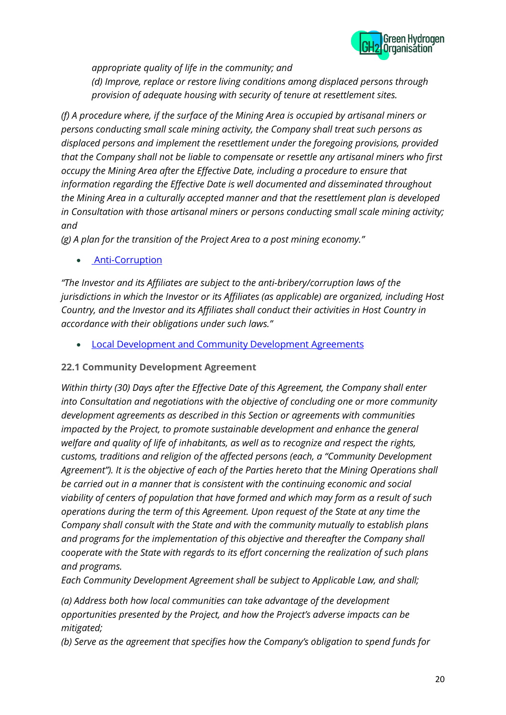

*appropriate quality of life in the community; and*

*(d) Improve, replace or restore living conditions among displaced persons through provision of adequate housing with security of tenure at resettlement sites.*

*(f) A procedure where, if the surface of the Mining Area is occupied by artisanal miners or persons conducting small scale mining activity, the Company shall treat such persons as displaced persons and implement the resettlement under the foregoing provisions, provided that the Company shall not be liable to compensate or resettle any artisanal miners who first occupy the Mining Area after the Effective Date, including a procedure to ensure that information regarding the Effective Date is well documented and disseminated throughout the Mining Area in a culturally accepted manner and that the resettlement plan is developed in Consultation with those artisanal miners or persons conducting small scale mining activity; and*

*(g) A plan for the transition of the Project Area to a post mining economy."*

• [Anti-Corruption](https://www.mmdaproject.org/12-3-prevention-of-corruption/)

*"The Investor and its Affiliates are subject to the anti-bribery/corruption laws of the jurisdictions in which the Investor or its Affiliates (as applicable) are organized, including Host Country, and the Investor and its Affiliates shall conduct their activities in Host Country in accordance with their obligations under such laws."*

• [Local Development and Community Development Agreements](https://www.mmdaproject.org/26-0-local-community-development/)

## **22.1 Community Development Agreement**

*Within thirty (30) Days after the Effective Date of this Agreement, the Company shall enter into Consultation and negotiations with the objective of concluding one or more community development agreements as described in this Section or agreements with communities impacted by the Project, to promote sustainable development and enhance the general welfare and quality of life of inhabitants, as well as to recognize and respect the rights, customs, traditions and religion of the affected persons (each, a "Community Development Agreement"). It is the objective of each of the Parties hereto that the Mining Operations shall be carried out in a manner that is consistent with the continuing economic and social viability of centers of population that have formed and which may form as a result of such operations during the term of this Agreement. Upon request of the State at any time the Company shall consult with the State and with the community mutually to establish plans and programs for the implementation of this objective and thereafter the Company shall cooperate with the State with regards to its effort concerning the realization of such plans and programs.*

*Each Community Development Agreement shall be subject to Applicable Law, and shall;*

*(a) Address both how local communities can take advantage of the development opportunities presented by the Project, and how the Project's adverse impacts can be mitigated;*

*(b) Serve as the agreement that specifies how the Company's obligation to spend funds for*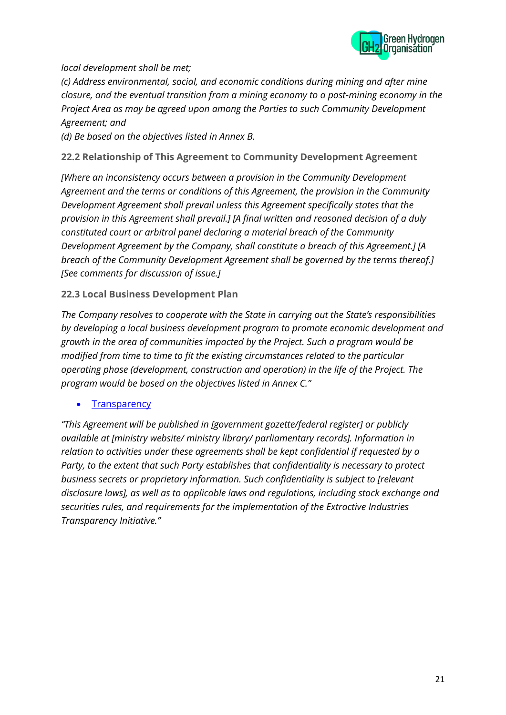

#### *local development shall be met;*

*(c) Address environmental, social, and economic conditions during mining and after mine closure, and the eventual transition from a mining economy to a post-mining economy in the Project Area as may be agreed upon among the Parties to such Community Development Agreement; and*

*(d) Be based on the objectives listed in Annex B.*

#### **22.2 Relationship of This Agreement to Community Development Agreement**

*[Where an inconsistency occurs between a provision in the Community Development Agreement and the terms or conditions of this Agreement, the provision in the Community Development Agreement shall prevail unless this Agreement specifically states that the provision in this Agreement shall prevail.] [A final written and reasoned decision of a duly constituted court or arbitral panel declaring a material breach of the Community Development Agreement by the Company, shall constitute a breach of this Agreement.] [A breach of the Community Development Agreement shall be governed by the terms thereof.] [See comments for discussion of issue.]*

#### **22.3 Local Business Development Plan**

*The Company resolves to cooperate with the State in carrying out the State's responsibilities by developing a local business development program to promote economic development and growth in the area of communities impacted by the Project. Such a program would be modified from time to time to fit the existing circumstances related to the particular operating phase (development, construction and operation) in the life of the Project. The program would be based on the objectives listed in Annex C."*

• [Transparency](https://www.mmdaproject.org/35-0-availability-of-information/)

*"This Agreement will be published in [government gazette/federal register] or publicly available at [ministry website/ ministry library/ parliamentary records]. Information in relation to activities under these agreements shall be kept confidential if requested by a Party, to the extent that such Party establishes that confidentiality is necessary to protect business secrets or proprietary information. Such confidentiality is subject to [relevant disclosure laws], as well as to applicable laws and regulations, including stock exchange and securities rules, and requirements for the implementation of the Extractive Industries Transparency Initiative."*